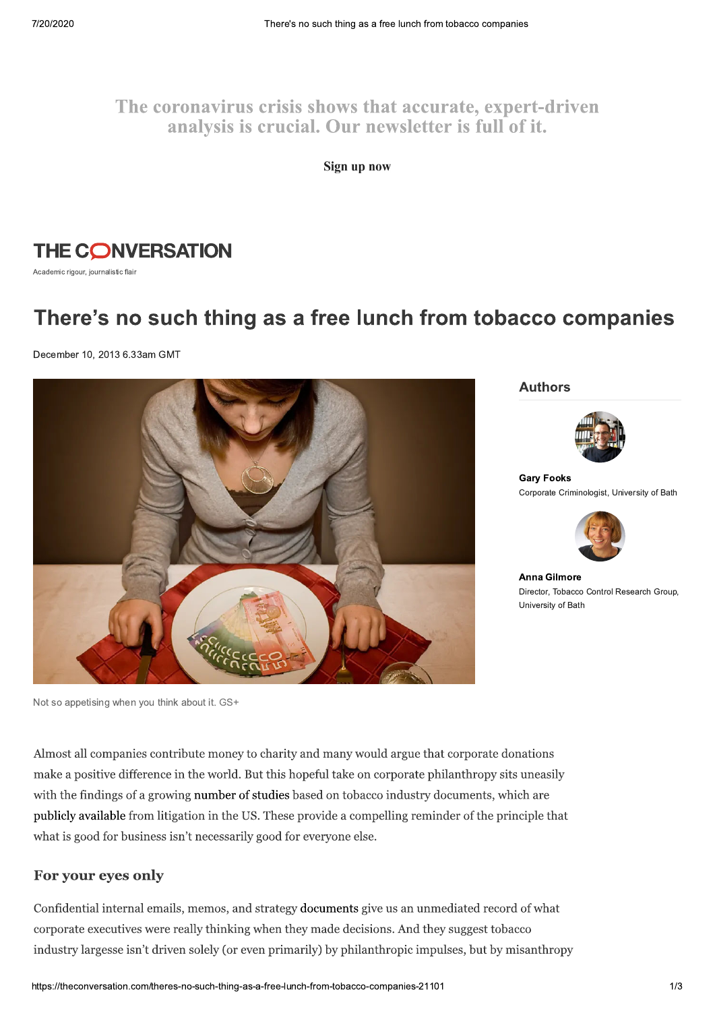# The coronavirus crisis shows that accurate, expert-driven analysis is crucial. Our newsletter is full of it.

Sign up now



Academic rigour, journalistic flair

# There's no such thing as a free lunch from tobacco companies

December 10, 2013 6.33am GMT



**Authors** 



**Gary Fooks** Corporate Criminologist, University of Bath



**Anna Gilmore** Director, Tobacco Control Research Group, University of Bath

Not so appetising when you think about it. GS+

Almost all companies contribute money to charity and many would argue that corporate donations make a positive difference in the world. But this hopeful take on corporate philanthropy sits uneasily with the findings of a growing number of studies based on tobacco industry documents, which are publicly available from litigation in the US. These provide a compelling reminder of the principle that what is good for business isn't necessarily good for everyone else.

#### For your eyes only

Confidential internal emails, memos, and strategy documents give us an unmediated record of what corporate executives were really thinking when they made decisions. And they suggest tobacco industry largesse isn't driven solely (or even primarily) by philanthropic impulses, but by misanthropy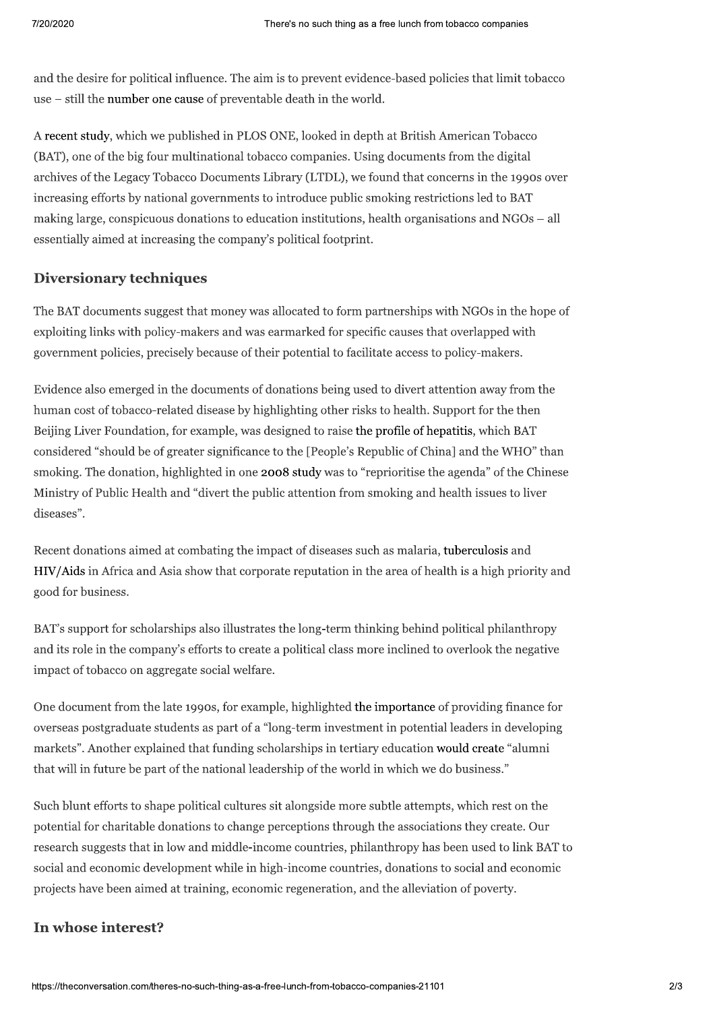and the desire for political influence. The aim is to prevent evidence-based policies that limit tobacco use – still the number one cause of preventable death in the world.

A recent study, which we published in PLOS ONE, looked in depth at British American Tobacco (BAT), one of the big four multinational tobacco companies. Using documents from the digital archives of the Legacy Tobacco Documents Library (LTDL), we found that concerns in the 1990s over increasing efforts by national governments to introduce public smoking restrictions led to BAT making large, conspicuous donations to education institutions, health organisations and NGOs – all essentially aimed at increasing the company's political footprint.

#### **Diversionary techniques**

The BAT documents suggest that money was allocated to form partnerships with NGOs in the hope of exploiting links with policy-makers and was earmarked for specific causes that overlapped with government policies, precisely because of their potential to facilitate access to policy-makers.

Evidence also emerged in the documents of donations being used to divert attention away from the human cost of tobacco-related disease by highlighting other risks to health. Support for the then Beijing Liver Foundation, for example, was designed to raise the profile of hepatitis, which BAT considered "should be of greater significance to the [People's Republic of China] and the WHO" than smoking. The donation, highlighted in one 2008 study was to "reprioritise the agenda" of the Chinese Ministry of Public Health and "divert the public attention from smoking and health issues to liver diseases".

Recent donations aimed at combating the impact of diseases such as malaria, tuberculosis and HIV/Aids in Africa and Asia show that corporate reputation in the area of health is a high priority and good for business.

BAT's support for scholarships also illustrates the long-term thinking behind political philanthropy and its role in the company's efforts to create a political class more inclined to overlook the negative impact of tobacco on aggregate social welfare.

One document from the late 1990s, for example, highlighted the importance of providing finance for overseas postgraduate students as part of a "long-term investment in potential leaders in developing markets". Another explained that funding scholarships in tertiary education would create "alumni that will in future be part of the national leadership of the world in which we do business."

Such blunt efforts to shape political cultures sit alongside more subtle attempts, which rest on the potential for charitable donations to change perceptions through the associations they create. Our research suggests that in low and middle-income countries, philanthropy has been used to link BAT to social and economic development while in high-income countries, donations to social and economic projects have been aimed at training, economic regeneration, and the alleviation of poverty.

## In whose interest?